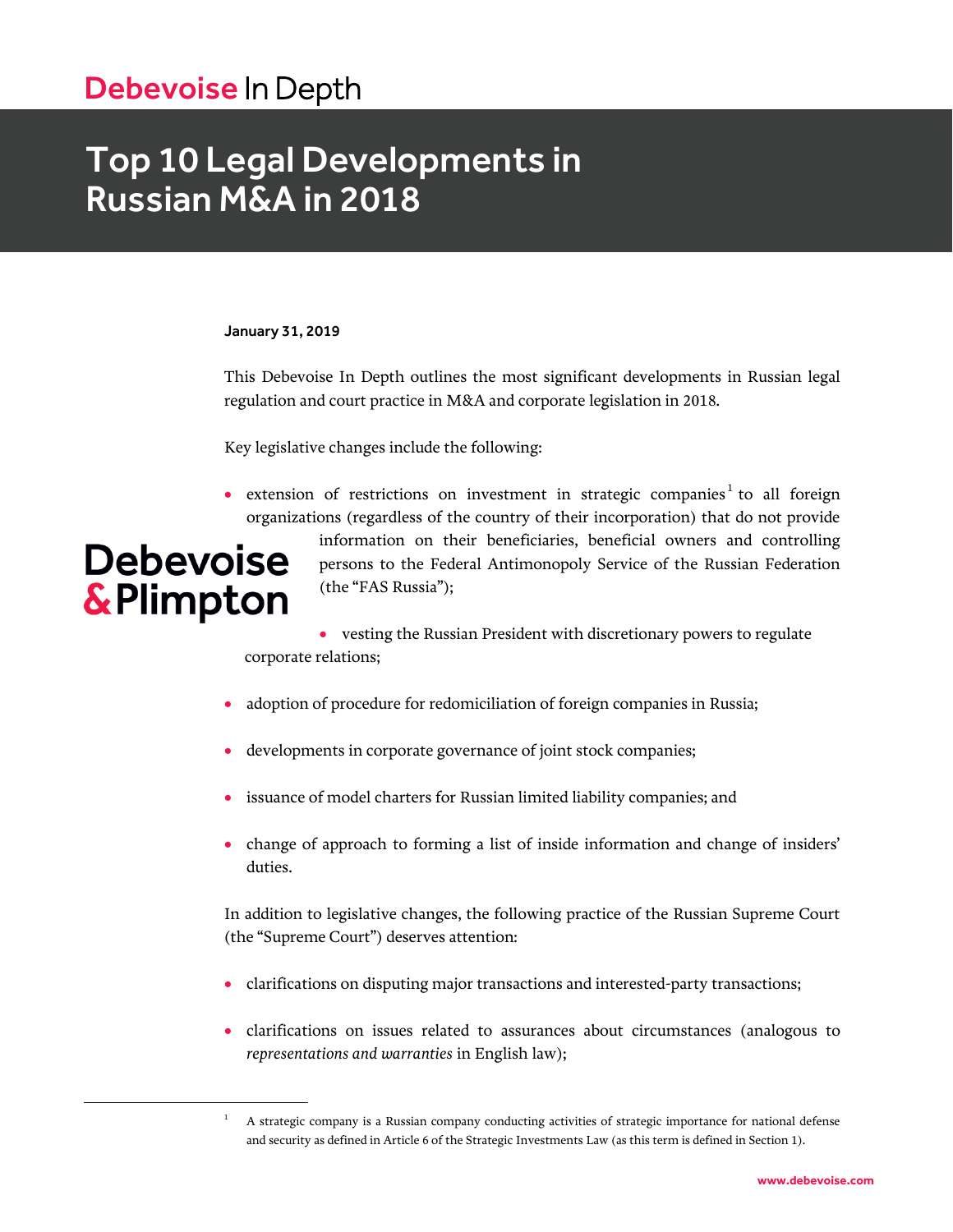# Debevoise In Depth

# Top 10 Legal Developments in Russian M&A in 2018

#### January 31, 2019

This Debevoise In Depth outlines the most significant developments in Russian legal regulation and court practice in M&A and corporate legislation in 2018.

Key legislative changes include the following:

• extension of restrictions on investment in strategic companies<sup>1</sup> to all foreign organizations (regardless of the country of their incorporation) that do not provide

# **Debevoise** & Plimpton

 $\overline{a}$ 

information on their beneficiaries, beneficial owners and controlling persons to the Federal Antimonopoly Service of the Russian Federation (the "FAS Russia");

 vesting the Russian President with discretionary powers to regulate corporate relations;

- adoption of procedure for redomiciliation of foreign companies in Russia;
- developments in corporate governance of joint stock companies;
- issuance of model charters for Russian limited liability companies; and
- change of approach to forming a list of inside information and change of insiders' duties.

In addition to legislative changes, the following practice of the Russian Supreme Court (the "Supreme Court") deserves attention:

- clarifications on disputing major transactions and interested-party transactions;
- clarifications on issues related to assurances about circumstances (analogous to *representations and warranties* in English law);

<sup>1</sup> A strategic company is a Russian company conducting activities of strategic importance for national defense and security as defined in Article 6 of the Strategic Investments Law (as this term is defined in Section 1).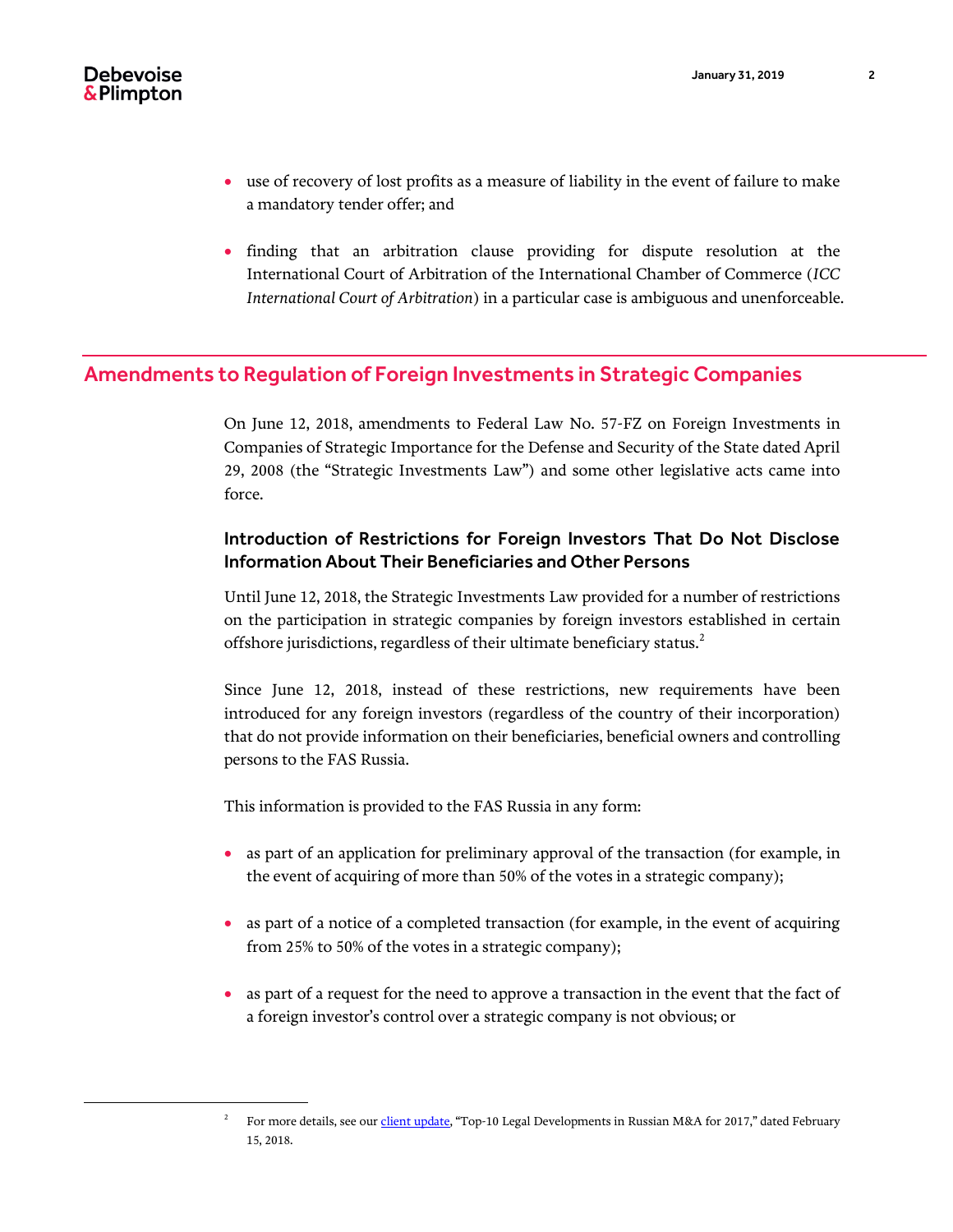- use of recovery of lost profits as a measure of liability in the event of failure to make a mandatory tender offer; and
- finding that an arbitration clause providing for dispute resolution at the International Court of Arbitration of the International Chamber of Commerce (*ICC International Court of Arbitration*) in a particular case is ambiguous and unenforceable.

# Amendments to Regulation of Foreign Investments in Strategic Companies

On June 12, 2018, amendments to Federal Law No. 57-FZ on Foreign Investments in Companies of Strategic Importance for the Defense and Security of the State dated April 29, 2008 (the "Strategic Investments Law") and some other legislative acts came into force.

# Introduction of Restrictions for Foreign Investors That Do Not Disclose Information About Their Beneficiaries and Other Persons

Until June 12, 2018, the Strategic Investments Law provided for a number of restrictions on the participation in strategic companies by foreign investors established in certain offshore jurisdictions, regardless of their ultimate beneficiary status.<sup>2</sup>

Since June 12, 2018, instead of these restrictions, new requirements have been introduced for any foreign investors (regardless of the country of their incorporation) that do not provide information on their beneficiaries, beneficial owners and controlling persons to the FAS Russia.

This information is provided to the FAS Russia in any form:

- as part of an application for preliminary approval of the transaction (for example, in the event of acquiring of more than 50% of the votes in a strategic company);
- as part of a notice of a completed transaction (for example, in the event of acquiring from 25% to 50% of the votes in a strategic company);
- as part of a request for the need to approve a transaction in the event that the fact of a foreign investor's control over a strategic company is not obvious; or

<sup>2</sup> For more details, see ou[r client update,](https://www.debevoise.com/insights/publications/2018/02/top-10-legal-developments-russian-ma-2017) "Top-10 Legal Developments in Russian M&A for 2017," dated February 15, 2018.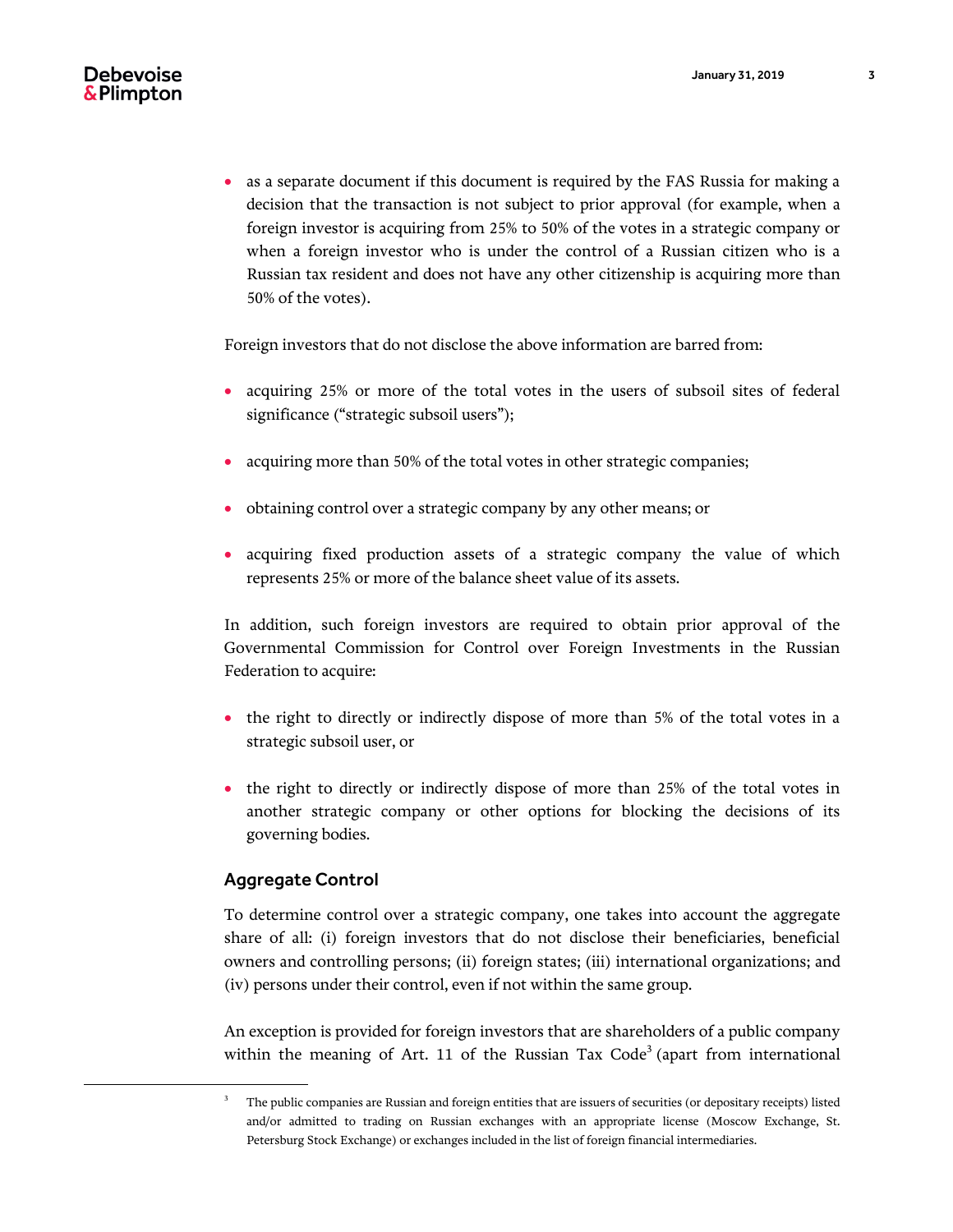as a separate document if this document is required by the FAS Russia for making a decision that the transaction is not subject to prior approval (for example, when a foreign investor is acquiring from 25% to 50% of the votes in a strategic company or when a foreign investor who is under the control of a Russian citizen who is a Russian tax resident and does not have any other citizenship is acquiring more than 50% of the votes).

Foreign investors that do not disclose the above information are barred from:

- acquiring 25% or more of the total votes in the users of subsoil sites of federal significance ("strategic subsoil users");
- acquiring more than 50% of the total votes in other strategic companies;
- obtaining control over a strategic company by any other means; or
- acquiring fixed production assets of a strategic company the value of which represents 25% or more of the balance sheet value of its assets.

In addition, such foreign investors are required to obtain prior approval of the Governmental Commission for Control over Foreign Investments in the Russian Federation to acquire:

- the right to directly or indirectly dispose of more than 5% of the total votes in a strategic subsoil user, or
- the right to directly or indirectly dispose of more than 25% of the total votes in another strategic company or other options for blocking the decisions of its governing bodies.

#### Aggregate Control

To determine control over a strategic company, one takes into account the aggregate share of all: (i) foreign investors that do not disclose their beneficiaries, beneficial owners and controlling persons; (ii) foreign states; (iii) international organizations; and (iv) persons under their control, even if not within the same group.

An exception is provided for foreign investors that are shareholders of a public company within the meaning of Art. 11 of the Russian Tax  $Code<sup>3</sup>$  (apart from international

<sup>3</sup> The public companies are Russian and foreign entities that are issuers of securities (or depositary receipts) listed and/or admitted to trading on Russian exchanges with an appropriate license (Moscow Exchange, St. Petersburg Stock Exchange) or exchanges included in the list of foreign financial intermediaries.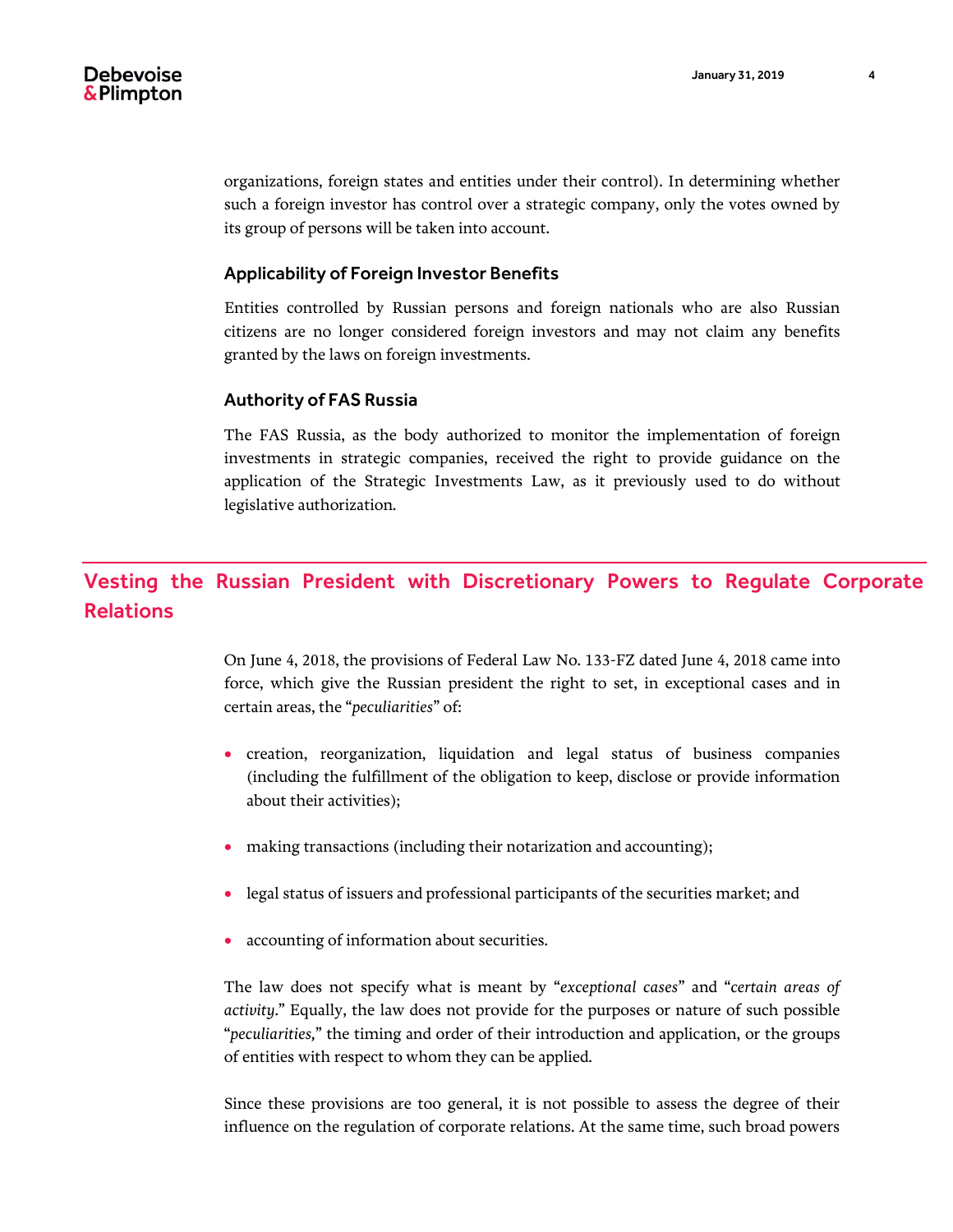organizations, foreign states and entities under their control). In determining whether such a foreign investor has control over a strategic company, only the votes owned by its group of persons will be taken into account.

#### Applicability of Foreign Investor Benefits

Entities controlled by Russian persons and foreign nationals who are also Russian citizens are no longer considered foreign investors and may not claim any benefits granted by the laws on foreign investments.

#### Authority of FAS Russia

The FAS Russia, as the body authorized to monitor the implementation of foreign investments in strategic companies, received the right to provide guidance on the application of the Strategic Investments Law, as it previously used to do without legislative authorization.

# Vesting the Russian President with Discretionary Powers to Regulate Corporate Relations

On June 4, 2018, the provisions of Federal Law No. 133-FZ dated June 4, 2018 came into force, which give the Russian president the right to set, in exceptional cases and in certain areas, the "*peculiarities*" of:

- creation, reorganization, liquidation and legal status of business companies (including the fulfillment of the obligation to keep, disclose or provide information about their activities);
- making transactions (including their notarization and accounting);
- legal status of issuers and professional participants of the securities market; and
- accounting of information about securities.

The law does not specify what is meant by "*exceptional cases*" and "*certain areas of activity*." Equally, the law does not provide for the purposes or nature of such possible "*peculiarities,*" the timing and order of their introduction and application, or the groups of entities with respect to whom they can be applied.

Since these provisions are too general, it is not possible to assess the degree of their influence on the regulation of corporate relations. At the same time, such broad powers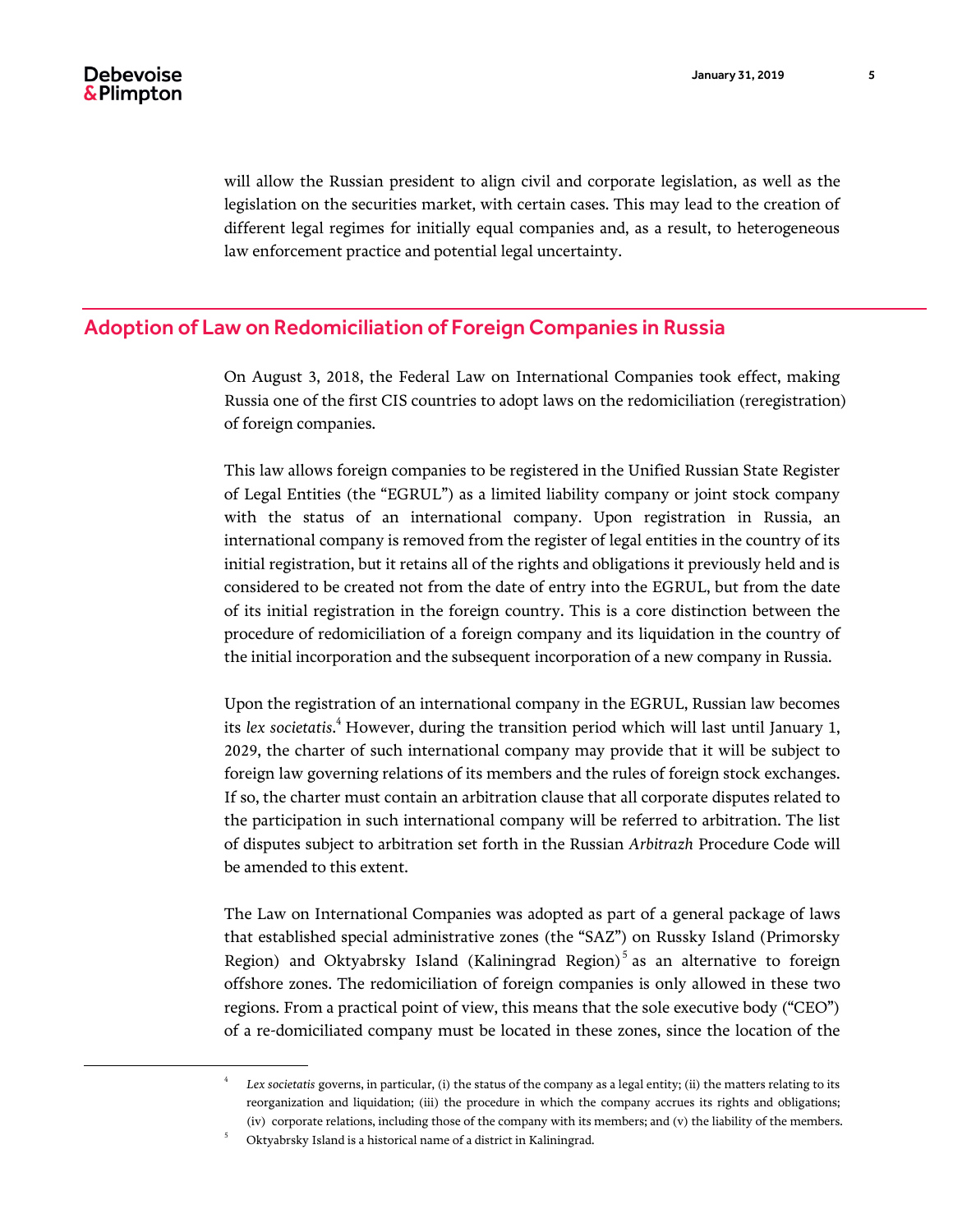will allow the Russian president to align civil and corporate legislation, as well as the legislation on the securities market, with certain cases. This may lead to the creation of different legal regimes for initially equal companies and, as a result, to heterogeneous law enforcement practice and potential legal uncertainty.

# Adoption of Law on Redomiciliation of Foreign Companies in Russia

On August 3, 2018, the Federal Law on International Companies took effect, making Russia one of the first CIS countries to adopt laws on the redomiciliation (reregistration) of foreign companies.

This law allows foreign companies to be registered in the Unified Russian State Register of Legal Entities (the "EGRUL") as a limited liability company or joint stock company with the status of an international company. Upon registration in Russia, an international company is removed from the register of legal entities in the country of its initial registration, but it retains all of the rights and obligations it previously held and is considered to be created not from the date of entry into the EGRUL, but from the date of its initial registration in the foreign country. This is a core distinction between the procedure of redomiciliation of a foreign company and its liquidation in the country of the initial incorporation and the subsequent incorporation of a new company in Russia.

Upon the registration of an international company in the EGRUL, Russian law becomes its *lex societatis*. <sup>4</sup> However, during the transition period which will last until January 1, 2029, the charter of such international company may provide that it will be subject to foreign law governing relations of its members and the rules of foreign stock exchanges. If so, the charter must contain an arbitration clause that all corporate disputes related to the participation in such international company will be referred to arbitration. The list of disputes subject to arbitration set forth in the Russian *Arbitrazh* Procedure Code will be amended to this extent.

The Law on International Companies was adopted as part of a general package of laws that established special administrative zones (the "SAZ") on Russky Island (Primorsky Region) and Oktyabrsky Island (Kaliningrad Region)<sup>5</sup> as an alternative to foreign offshore zones. The redomiciliation of foreign companies is only allowed in these two regions. From a practical point of view, this means that the sole executive body ("CEO") of a re-domiciliated company must be located in these zones, since the location of the

<sup>4</sup> *Lex societatis* governs, in particular, (i) the status of the company as a legal entity; (ii) the matters relating to its reorganization and liquidation; (iii) the procedure in which the company accrues its rights and obligations; (iv) corporate relations, including those of the company with its members; and (v) the liability of the members.

<sup>5</sup> Oktyabrsky Island is a historical name of a district in Kaliningrad.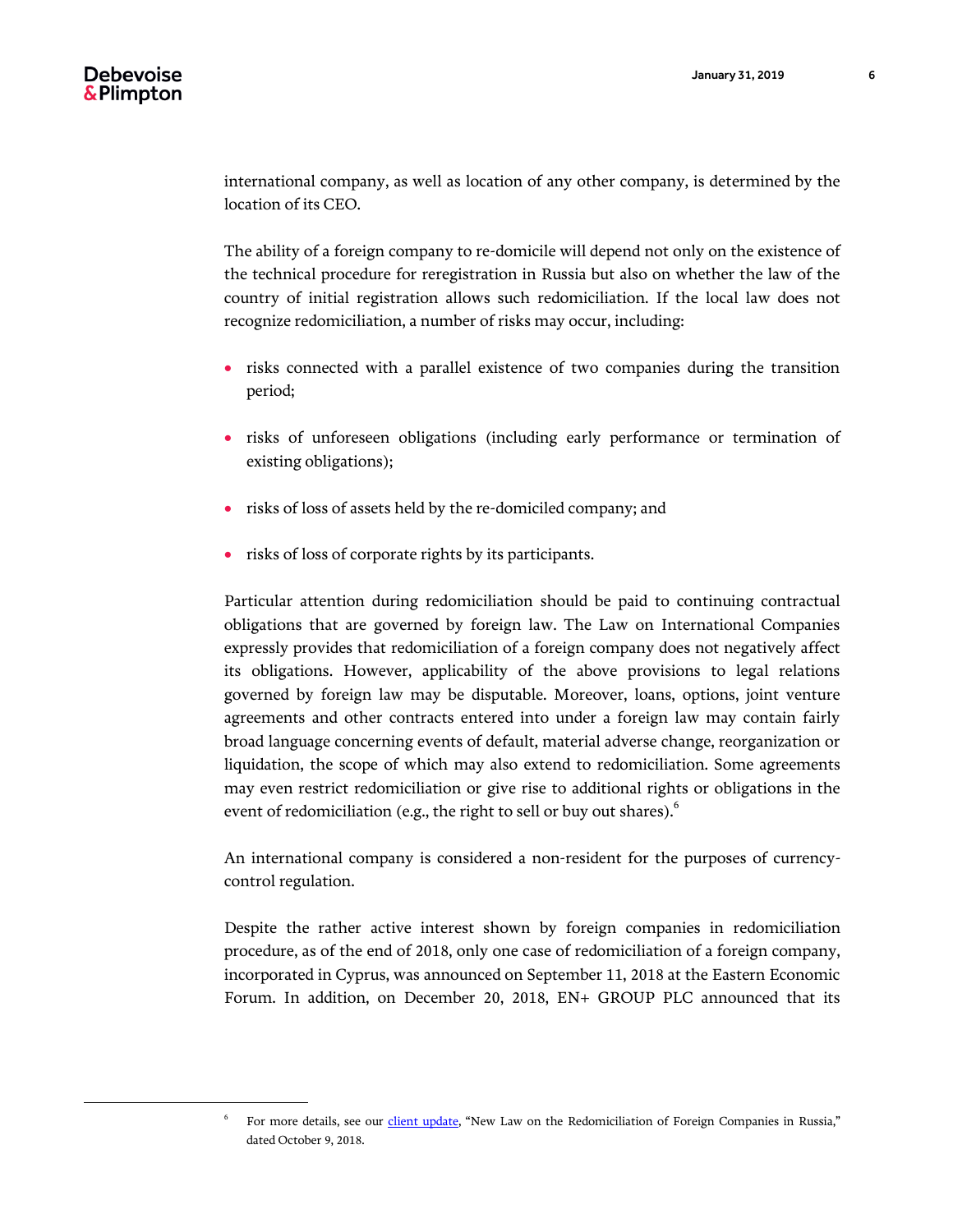international company, as well as location of any other company, is determined by the location of its CEO.

The ability of a foreign company to re-domicile will depend not only on the existence of the technical procedure for reregistration in Russia but also on whether the law of the country of initial registration allows such redomiciliation. If the local law does not recognize redomiciliation, a number of risks may occur, including:

- risks connected with a parallel existence of two companies during the transition period;
- risks of unforeseen obligations (including early performance or termination of existing obligations);
- risks of loss of assets held by the re-domiciled company; and
- risks of loss of corporate rights by its participants.

Particular attention during redomiciliation should be paid to continuing contractual obligations that are governed by foreign law. The Law on International Companies expressly provides that redomiciliation of a foreign company does not negatively affect its obligations. However, applicability of the above provisions to legal relations governed by foreign law may be disputable. Moreover, loans, options, joint venture agreements and other contracts entered into under a foreign law may contain fairly broad language concerning events of default, material adverse change, reorganization or liquidation, the scope of which may also extend to redomiciliation. Some agreements may even restrict redomiciliation or give rise to additional rights or obligations in the event of redomiciliation (e.g., the right to sell or buy out shares). $6$ 

An international company is considered a non-resident for the purposes of currencycontrol regulation.

Despite the rather active interest shown by foreign companies in redomiciliation procedure, as of the end of 2018, only one case of redomiciliation of a foreign company, incorporated in Cyprus, was announced on September 11, 2018 at the Eastern Economic Forum. In addition, on December 20, 2018, EN+ GROUP PLC announced that its

<sup>6</sup> For more details, see our [client update,](https://www.debevoise.com/insights/publications/2018/10/new-law-on-the-redomiciliation) "New Law on the Redomiciliation of Foreign Companies in Russia," dated October 9, 2018.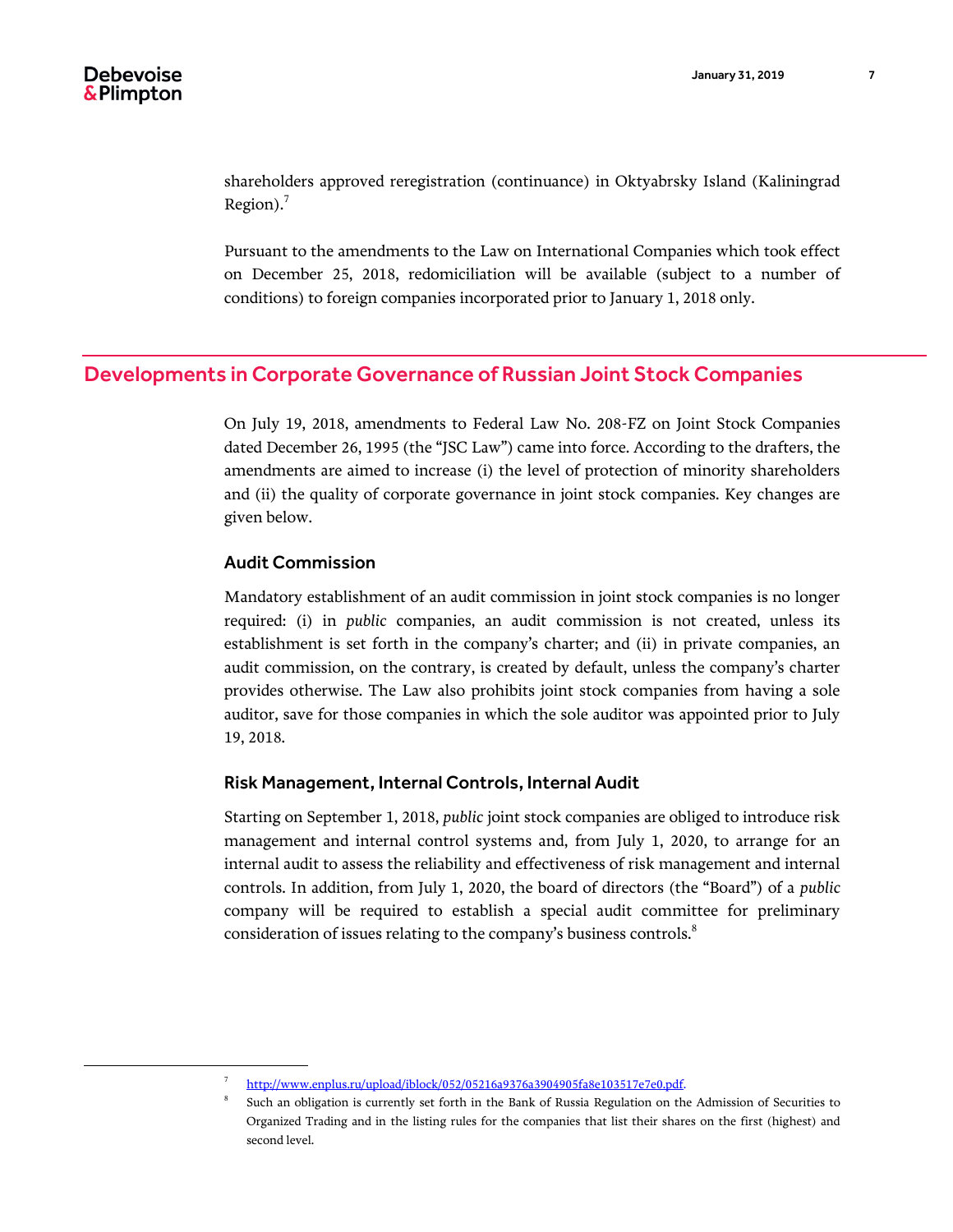shareholders approved reregistration (continuance) in Oktyabrsky Island (Kaliningrad Region). $<sup>7</sup>$ </sup>

Pursuant to the amendments to the Law on International Companies which took effect on December 25, 2018, redomiciliation will be available (subject to a number of conditions) to foreign companies incorporated prior to January 1, 2018 only.

# Developments in Corporate Governance of Russian Joint Stock Companies

On July 19, 2018, amendments to Federal Law No. 208-FZ on Joint Stock Companies dated December 26, 1995 (the "JSC Law") came into force. According to the drafters, the amendments are aimed to increase (i) the level of protection of minority shareholders and (ii) the quality of corporate governance in joint stock companies. Key changes are given below.

#### Audit Commission

Mandatory establishment of an audit commission in joint stock companies is no longer required: (i) in *public* companies, an audit commission is not created, unless its establishment is set forth in the company's charter; and (ii) in private companies, an audit commission, on the contrary, is created by default, unless the company's charter provides otherwise. The Law also prohibits joint stock companies from having a sole auditor, save for those companies in which the sole auditor was appointed prior to July 19, 2018.

#### Risk Management, Internal Controls, Internal Audit

Starting on September 1, 2018, *public* joint stock companies are obliged to introduce risk management and internal control systems and, from July 1, 2020, to arrange for an internal audit to assess the reliability and effectiveness of risk management and internal controls. In addition, from July 1, 2020, the board of directors (the "Board") of a *public* company will be required to establish a special audit committee for preliminary consideration of issues relating to the company's business controls.<sup>8</sup>

<sup>7</sup> [http://www.enplus.ru/upload/iblock/052/05216a9376a3904905fa8e103517e7e0.pdf.](http://www.enplus.ru/upload/iblock/052/05216a9376a3904905fa8e103517e7e0.pdf)

<sup>8</sup> Such an obligation is currently set forth in the Bank of Russia Regulation on the Admission of Securities to Organized Trading and in the listing rules for the companies that list their shares on the first (highest) and second level.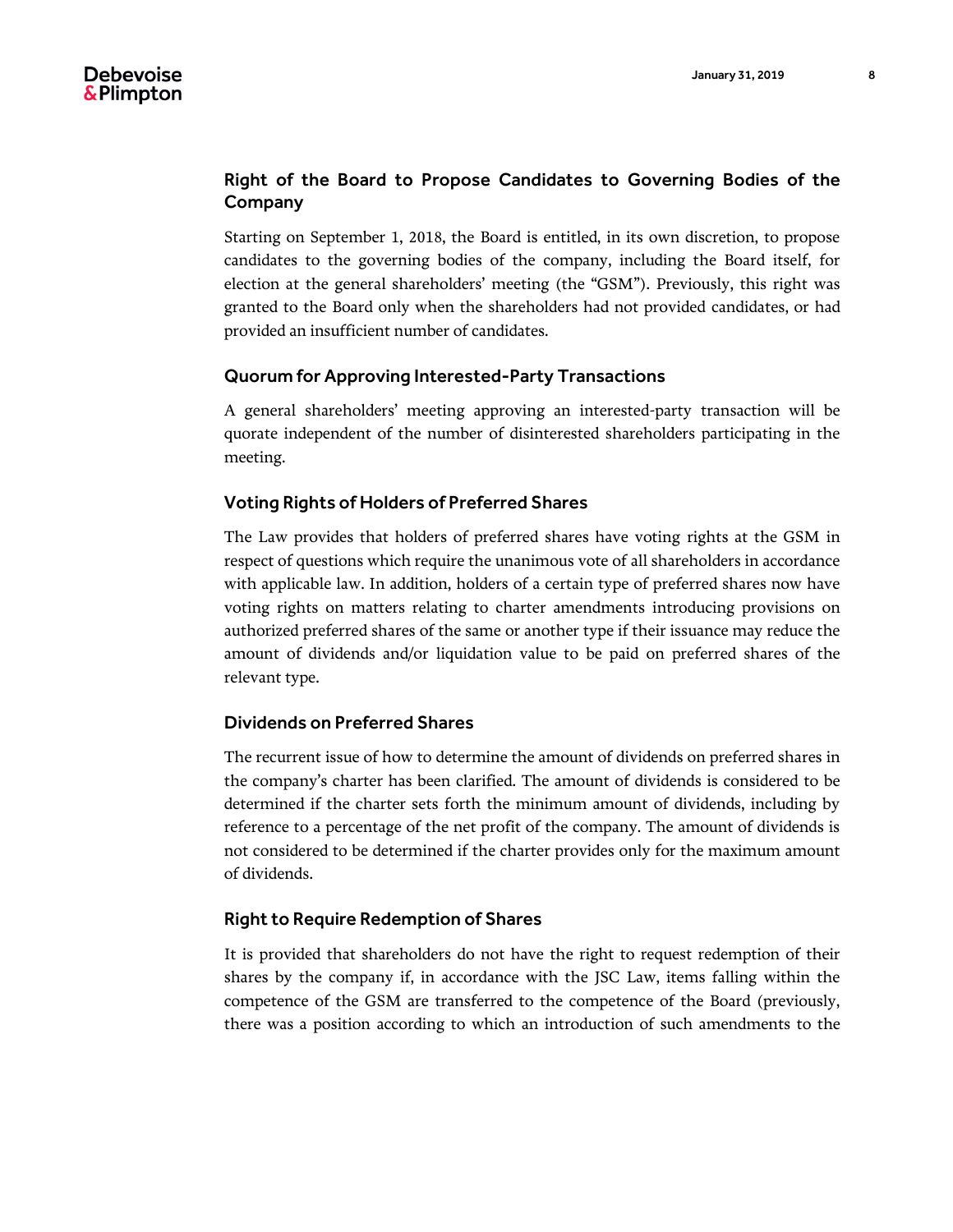# Right of the Board to Propose Candidates to Governing Bodies of the Company

Starting on September 1, 2018, the Board is entitled, in its own discretion, to propose candidates to the governing bodies of the company, including the Board itself, for election at the general shareholders' meeting (the "GSM"). Previously, this right was granted to the Board only when the shareholders had not provided candidates, or had provided an insufficient number of candidates.

## Quorum for Approving Interested-Party Transactions

A general shareholders' meeting approving an interested-party transaction will be quorate independent of the number of disinterested shareholders participating in the meeting.

## Voting Rights of Holders of Preferred Shares

The Law provides that holders of preferred shares have voting rights at the GSM in respect of questions which require the unanimous vote of all shareholders in accordance with applicable law. In addition, holders of a certain type of preferred shares now have voting rights on matters relating to charter amendments introducing provisions on authorized preferred shares of the same or another type if their issuance may reduce the amount of dividends and/or liquidation value to be paid on preferred shares of the relevant type.

# Dividends on Preferred Shares

The recurrent issue of how to determine the amount of dividends on preferred shares in the company's charter has been clarified. The amount of dividends is considered to be determined if the charter sets forth the minimum amount of dividends, including by reference to a percentage of the net profit of the company. The amount of dividends is not considered to be determined if the charter provides only for the maximum amount of dividends.

#### Right to Require Redemption of Shares

It is provided that shareholders do not have the right to request redemption of their shares by the company if, in accordance with the JSC Law, items falling within the competence of the GSM are transferred to the competence of the Board (previously, there was a position according to which an introduction of such amendments to the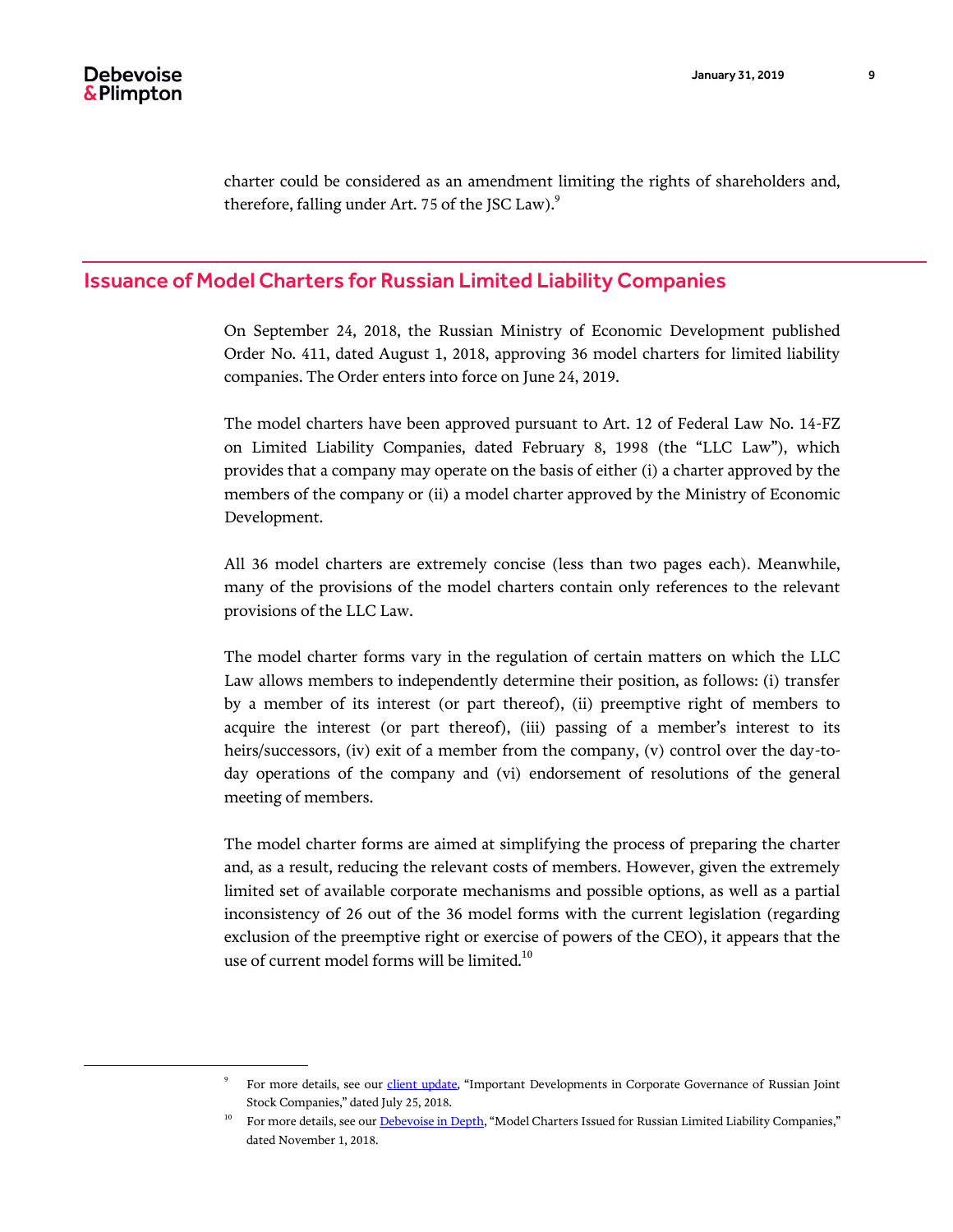charter could be considered as an amendment limiting the rights of shareholders and, therefore, falling under Art. 75 of the JSC Law). $9$ 

# Issuance of Model Charters for Russian Limited Liability Companies

On September 24, 2018, the Russian Ministry of Economic Development published Order No. 411, dated August 1, 2018, approving 36 model charters for limited liability companies. The Order enters into force on June 24, 2019.

The model charters have been approved pursuant to Art. 12 of Federal Law No. 14-FZ on Limited Liability Companies, dated February 8, 1998 (the "LLC Law"), which provides that a company may operate on the basis of either (i) a charter approved by the members of the company or (ii) a model charter approved by the Ministry of Economic Development.

All 36 model charters are extremely concise (less than two pages each). Meanwhile, many of the provisions of the model charters contain only references to the relevant provisions of the LLC Law.

The model charter forms vary in the regulation of certain matters on which the LLC Law allows members to independently determine their position, as follows: (i) transfer by a member of its interest (or part thereof), (ii) preemptive right of members to acquire the interest (or part thereof), (iii) passing of a member's interest to its heirs/successors, (iv) exit of a member from the company, (v) control over the day-today operations of the company and (vi) endorsement of resolutions of the general meeting of members.

The model charter forms are aimed at simplifying the process of preparing the charter and, as a result, reducing the relevant costs of members. However, given the extremely limited set of available corporate mechanisms and possible options, as well as a partial inconsistency of 26 out of the 36 model forms with the current legislation (regarding exclusion of the preemptive right or exercise of powers of the CEO), it appears that the use of current model forms will be limited.<sup>10</sup>

<sup>9</sup> For more details, see ou[r client update,](https://www.debevoise.com/insights/publications/2018/07/important-developments-in-corporate-governance) "Important Developments in Corporate Governance of Russian Joint Stock Companies," dated July 25, 2018.

<sup>10</sup> For more details, see ou[r Debevoise in Depth,](https://www.debevoise.com/insights/publications/2018/10/model-charters-for-russian-limited-liability) "Model Charters Issued for Russian Limited Liability Companies," dated November 1, 2018.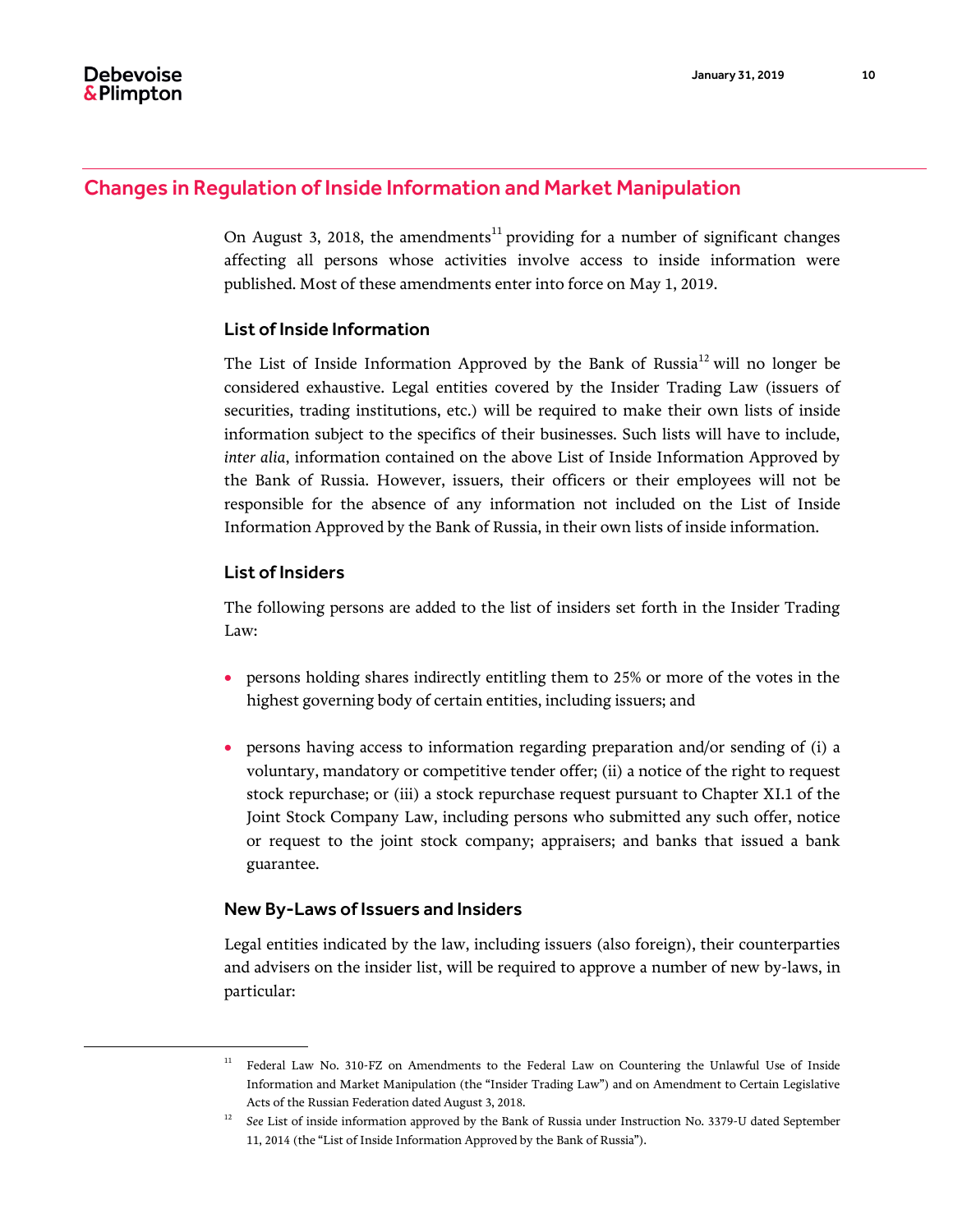## Changes in Regulation of Inside Information and Market Manipulation

On August 3, 2018, the amendments<sup>11</sup> providing for a number of significant changes affecting all persons whose activities involve access to inside information were published. Most of these amendments enter into force on May 1, 2019.

#### List of Inside Information

The List of Inside Information Approved by the Bank of Russia<sup>12</sup> will no longer be considered exhaustive. Legal entities covered by the Insider Trading Law (issuers of securities, trading institutions, etc.) will be required to make their own lists of inside information subject to the specifics of their businesses. Such lists will have to include, *inter alia*, information contained on the above List of Inside Information Approved by the Bank of Russia. However, issuers, their officers or their employees will not be responsible for the absence of any information not included on the List of Inside Information Approved by the Bank of Russia, in their own lists of inside information.

## List of Insiders

The following persons are added to the list of insiders set forth in the Insider Trading Law:

- persons holding shares indirectly entitling them to 25% or more of the votes in the highest governing body of certain entities, including issuers; and
- persons having access to information regarding preparation and/or sending of (i) a voluntary, mandatory or competitive tender offer; (ii) a notice of the right to request stock repurchase; or (iii) a stock repurchase request pursuant to Chapter XI.1 of the Joint Stock Company Law, including persons who submitted any such offer, notice or request to the joint stock company; appraisers; and banks that issued a bank guarantee.

#### New By-Laws of Issuers and Insiders

Legal entities indicated by the law, including issuers (also foreign), their counterparties and advisers on the insider list, will be required to approve a number of new by-laws, in particular:

<sup>&</sup>lt;sup>11</sup> Federal Law No. 310-FZ on Amendments to the Federal Law on Countering the Unlawful Use of Inside Information and Market Manipulation (the "Insider Trading Law") and on Amendment to Certain Legislative Acts of the Russian Federation dated August 3, 2018.

<sup>&</sup>lt;sup>12</sup> See List of inside information approved by the Bank of Russia under Instruction No. 3379-U dated September 11, 2014 (the "List of Inside Information Approved by the Bank of Russia").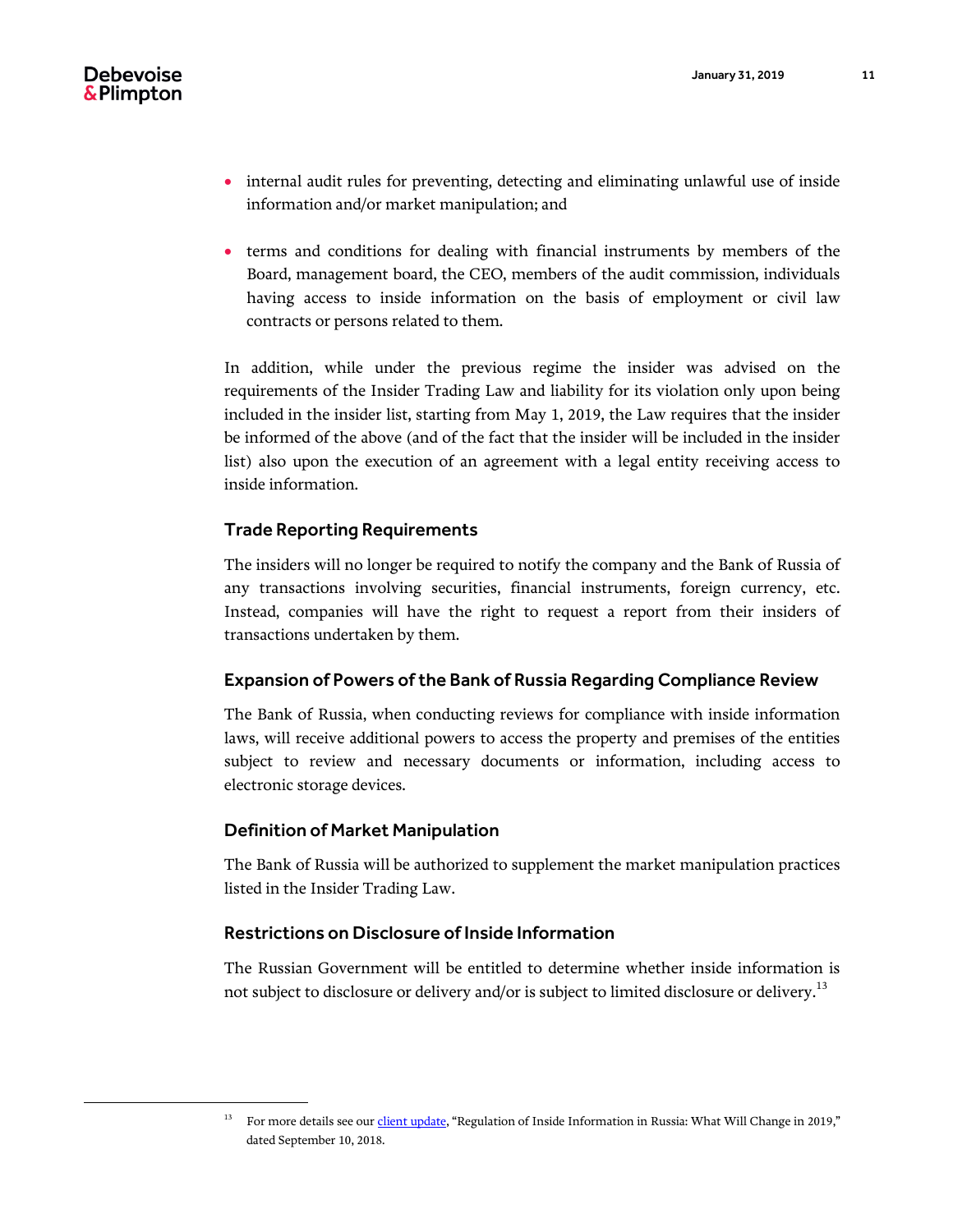- internal audit rules for preventing, detecting and eliminating unlawful use of inside information and/or market manipulation; and
- terms and conditions for dealing with financial instruments by members of the Board, management board, the CEO, members of the audit commission, individuals having access to inside information on the basis of employment or civil law contracts or persons related to them.

In addition, while under the previous regime the insider was advised on the requirements of the Insider Trading Law and liability for its violation only upon being included in the insider list, starting from May 1, 2019, the Law requires that the insider be informed of the above (and of the fact that the insider will be included in the insider list) also upon the execution of an agreement with a legal entity receiving access to inside information.

## Trade Reporting Requirements

The insiders will no longer be required to notify the company and the Bank of Russia of any transactions involving securities, financial instruments, foreign currency, etc. Instead, companies will have the right to request a report from their insiders of transactions undertaken by them.

# Expansion of Powers of the Bank of Russia Regarding Compliance Review

The Bank of Russia, when conducting reviews for compliance with inside information laws, will receive additional powers to access the property and premises of the entities subject to review and necessary documents or information, including access to electronic storage devices.

#### Definition of Market Manipulation

The Bank of Russia will be authorized to supplement the market manipulation practices listed in the Insider Trading Law.

#### Restrictions on Disclosure of Inside Information

The Russian Government will be entitled to determine whether inside information is not subject to disclosure or delivery and/or is subject to limited disclosure or delivery.<sup>13</sup>

<sup>13</sup> For more details see ou[r client update,](https://www.debevoise.com/insights/publications/2018/09/legal-framework-governing-inside) "Regulation of Inside Information in Russia: What Will Change in 2019," dated September 10, 2018.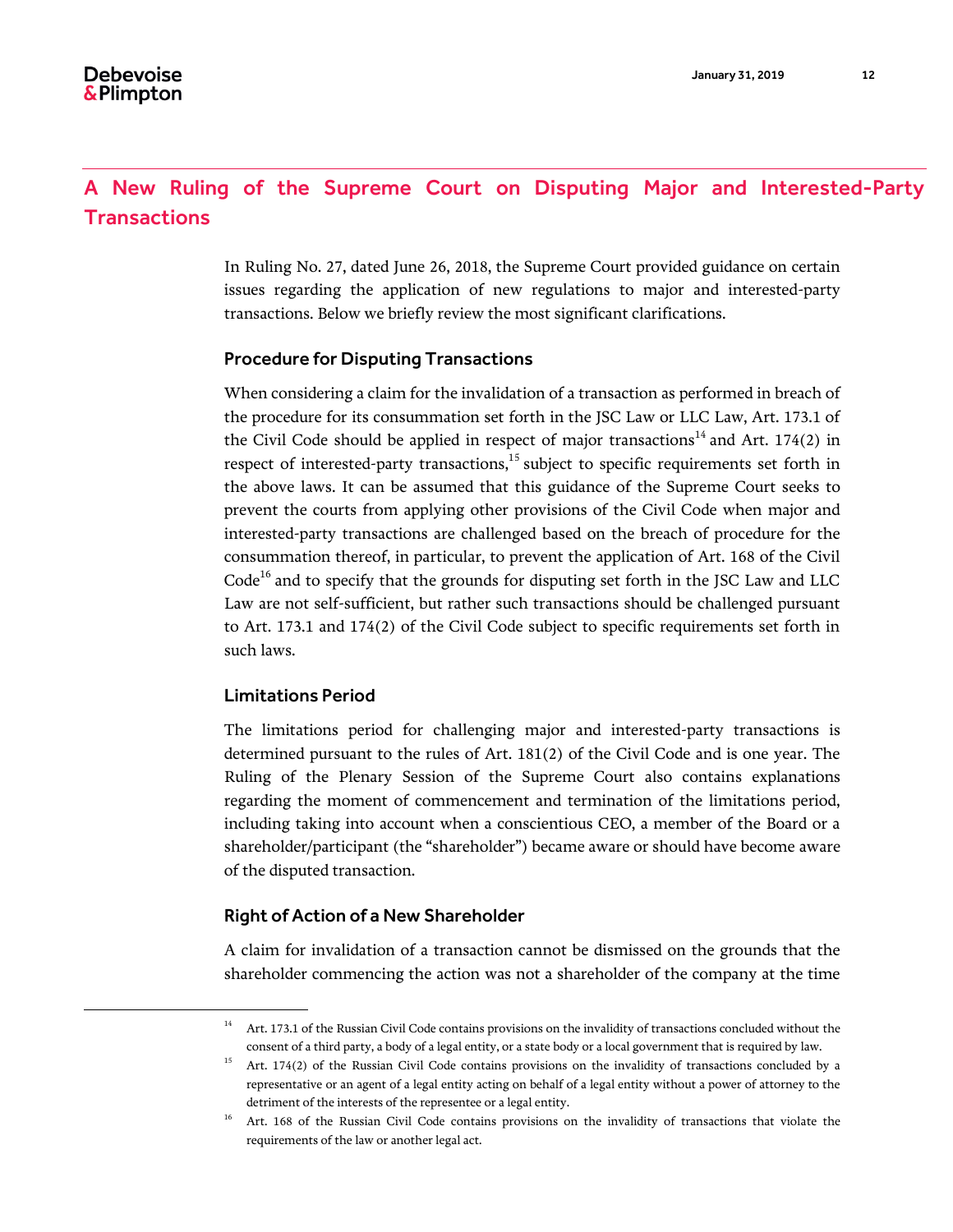In Ruling No. 27, dated June 26, 2018, the Supreme Court provided guidance on certain issues regarding the application of new regulations to major and interested-party transactions. Below we briefly review the most significant clarifications.

#### Procedure for Disputing Transactions

When considering a claim for the invalidation of a transaction as performed in breach of the procedure for its consummation set forth in the JSC Law or LLC Law, Art. 173.1 of the Civil Code should be applied in respect of major transactions<sup>14</sup> and Art. 174(2) in respect of interested-party transactions,<sup>15</sup> subject to specific requirements set forth in the above laws. It can be assumed that this guidance of the Supreme Court seeks to prevent the courts from applying other provisions of the Civil Code when major and interested-party transactions are challenged based on the breach of procedure for the consummation thereof, in particular, to prevent the application of Art. 168 of the Civil  $Code<sup>16</sup>$  and to specify that the grounds for disputing set forth in the JSC Law and LLC Law are not self-sufficient, but rather such transactions should be challenged pursuant to Art. 173.1 and 174(2) of the Civil Code subject to specific requirements set forth in such laws.

#### Limitations Period

The limitations period for challenging major and interested-party transactions is determined pursuant to the rules of Art. 181(2) of the Civil Code and is one year. The Ruling of the Plenary Session of the Supreme Court also contains explanations regarding the moment of commencement and termination of the limitations period, including taking into account when a conscientious CEO, a member of the Board or a shareholder/participant (the "shareholder") became aware or should have become aware of the disputed transaction.

#### Right of Action of a New Shareholder

A claim for invalidation of a transaction cannot be dismissed on the grounds that the shareholder commencing the action was not a shareholder of the company at the time

<sup>&</sup>lt;sup>14</sup> Art. 173.1 of the Russian Civil Code contains provisions on the invalidity of transactions concluded without the consent of a third party, a body of a legal entity, or a state body or a local government that is required by law.

<sup>&</sup>lt;sup>15</sup> Art. 174(2) of the Russian Civil Code contains provisions on the invalidity of transactions concluded by a representative or an agent of a legal entity acting on behalf of a legal entity without a power of attorney to the detriment of the interests of the representee or a legal entity.

<sup>&</sup>lt;sup>16</sup> Art. 168 of the Russian Civil Code contains provisions on the invalidity of transactions that violate the requirements of the law or another legal act.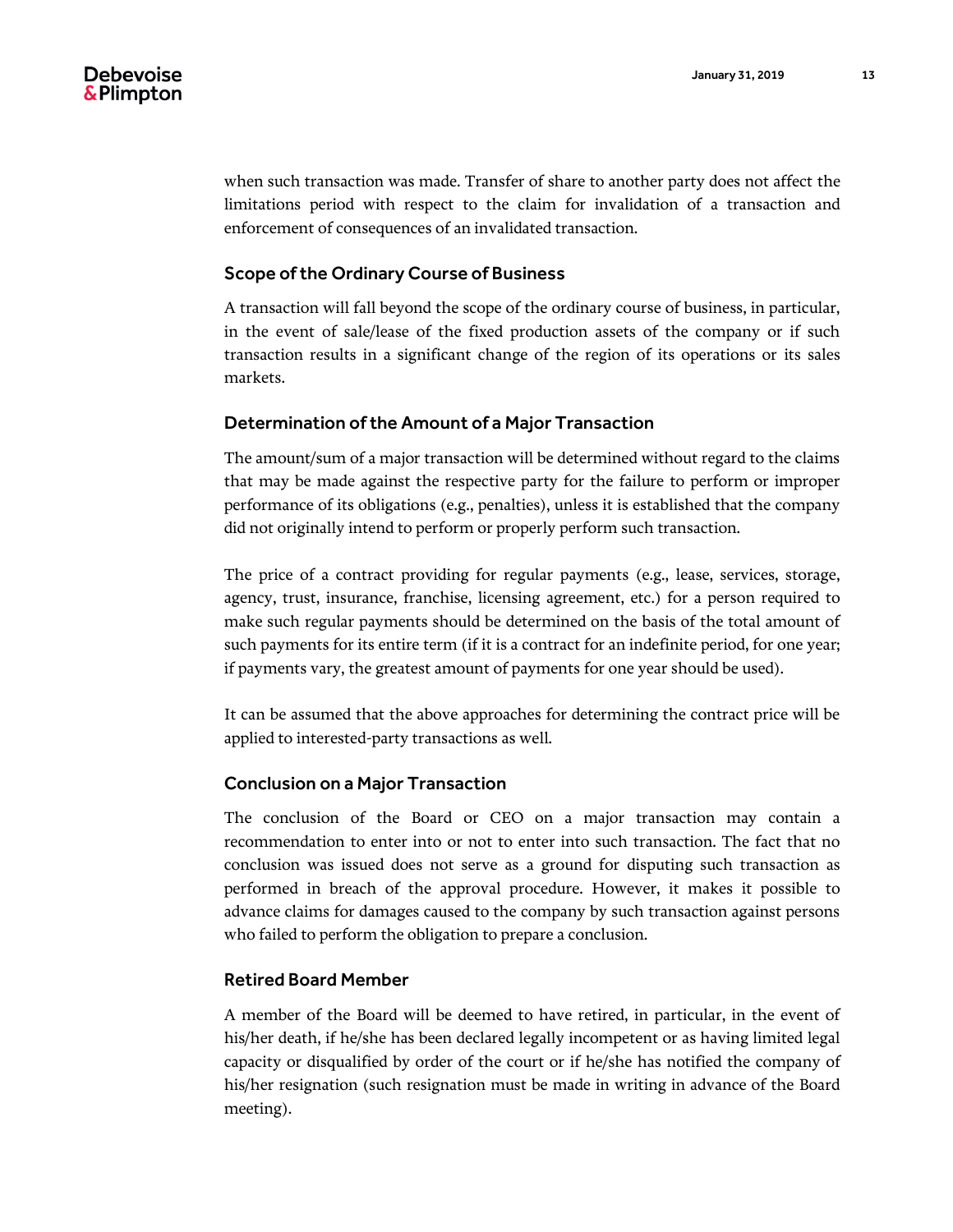when such transaction was made. Transfer of share to another party does not affect the limitations period with respect to the claim for invalidation of a transaction and enforcement of consequences of an invalidated transaction.

#### Scope of the Ordinary Course of Business

A transaction will fall beyond the scope of the ordinary course of business, in particular, in the event of sale/lease of the fixed production assets of the company or if such transaction results in a significant change of the region of its operations or its sales markets.

#### Determination of the Amount of a Major Transaction

The amount/sum of a major transaction will be determined without regard to the claims that may be made against the respective party for the failure to perform or improper performance of its obligations (e.g., penalties), unless it is established that the company did not originally intend to perform or properly perform such transaction.

The price of a contract providing for regular payments (e.g., lease, services, storage, agency, trust, insurance, franchise, licensing agreement, etc.) for a person required to make such regular payments should be determined on the basis of the total amount of such payments for its entire term (if it is a contract for an indefinite period, for one year; if payments vary, the greatest amount of payments for one year should be used).

It can be assumed that the above approaches for determining the contract price will be applied to interested-party transactions as well.

#### Conclusion on a Major Transaction

The conclusion of the Board or CEO on a major transaction may contain a recommendation to enter into or not to enter into such transaction. The fact that no conclusion was issued does not serve as a ground for disputing such transaction as performed in breach of the approval procedure. However, it makes it possible to advance claims for damages caused to the company by such transaction against persons who failed to perform the obligation to prepare a conclusion.

#### Retired Board Member

A member of the Board will be deemed to have retired, in particular, in the event of his/her death, if he/she has been declared legally incompetent or as having limited legal capacity or disqualified by order of the court or if he/she has notified the company of his/her resignation (such resignation must be made in writing in advance of the Board meeting).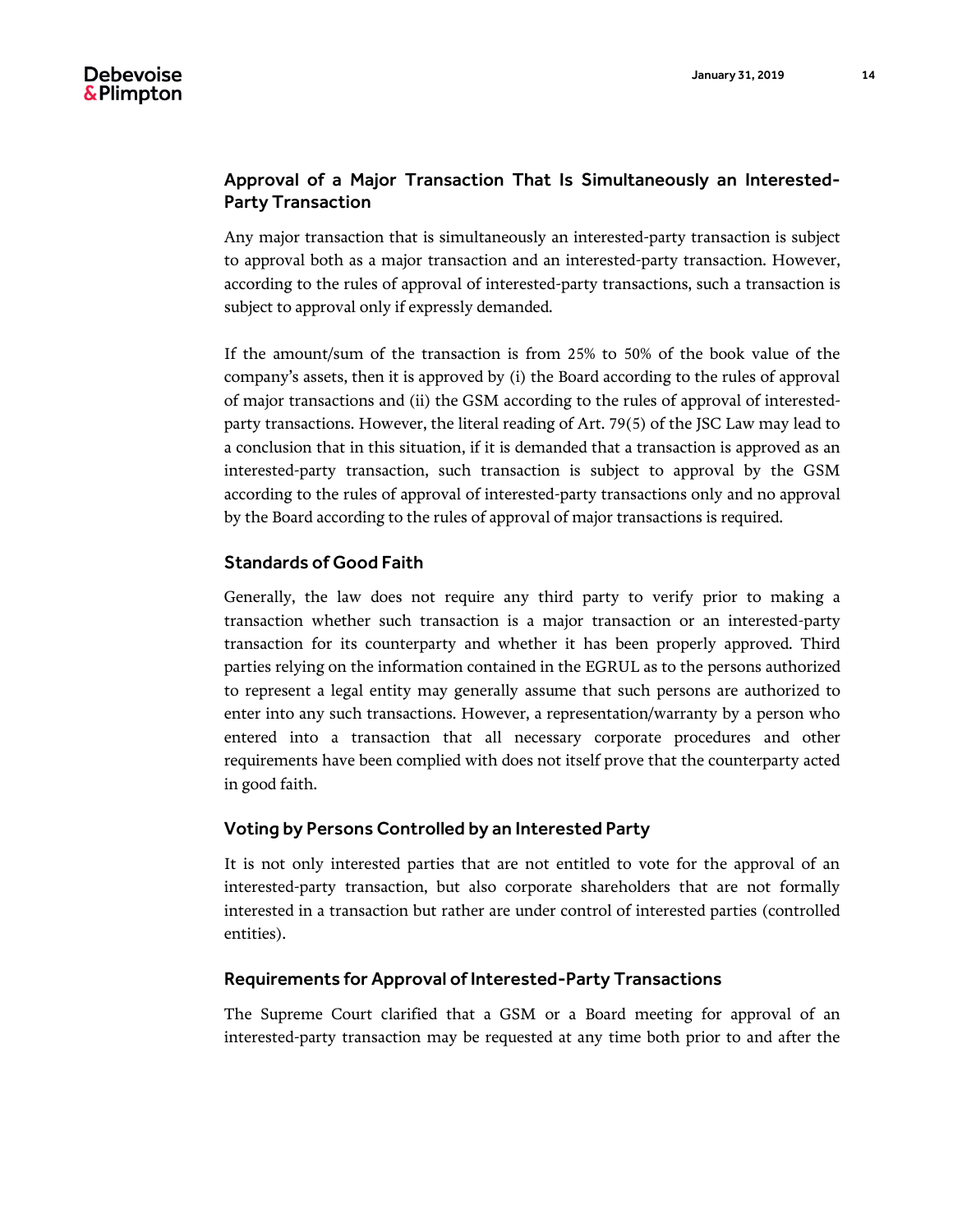# Approval of a Major Transaction That Is Simultaneously an Interested-Party Transaction

Any major transaction that is simultaneously an interested-party transaction is subject to approval both as a major transaction and an interested-party transaction. However, according to the rules of approval of interested-party transactions, such a transaction is subject to approval only if expressly demanded.

If the amount/sum of the transaction is from 25% to 50% of the book value of the company's assets, then it is approved by (i) the Board according to the rules of approval of major transactions and (ii) the GSM according to the rules of approval of interestedparty transactions. However, the literal reading of Art. 79(5) of the JSC Law may lead to a conclusion that in this situation, if it is demanded that a transaction is approved as an interested-party transaction, such transaction is subject to approval by the GSM according to the rules of approval of interested-party transactions only and no approval by the Board according to the rules of approval of major transactions is required.

#### Standards of Good Faith

Generally, the law does not require any third party to verify prior to making a transaction whether such transaction is a major transaction or an interested-party transaction for its counterparty and whether it has been properly approved. Third parties relying on the information contained in the EGRUL as to the persons authorized to represent a legal entity may generally assume that such persons are authorized to enter into any such transactions. However, a representation/warranty by a person who entered into a transaction that all necessary corporate procedures and other requirements have been complied with does not itself prove that the counterparty acted in good faith.

#### Voting by Persons Controlled by an Interested Party

It is not only interested parties that are not entitled to vote for the approval of an interested-party transaction, but also corporate shareholders that are not formally interested in a transaction but rather are under control of interested parties (controlled entities).

#### Requirements for Approval of Interested-Party Transactions

The Supreme Court clarified that a GSM or a Board meeting for approval of an interested-party transaction may be requested at any time both prior to and after the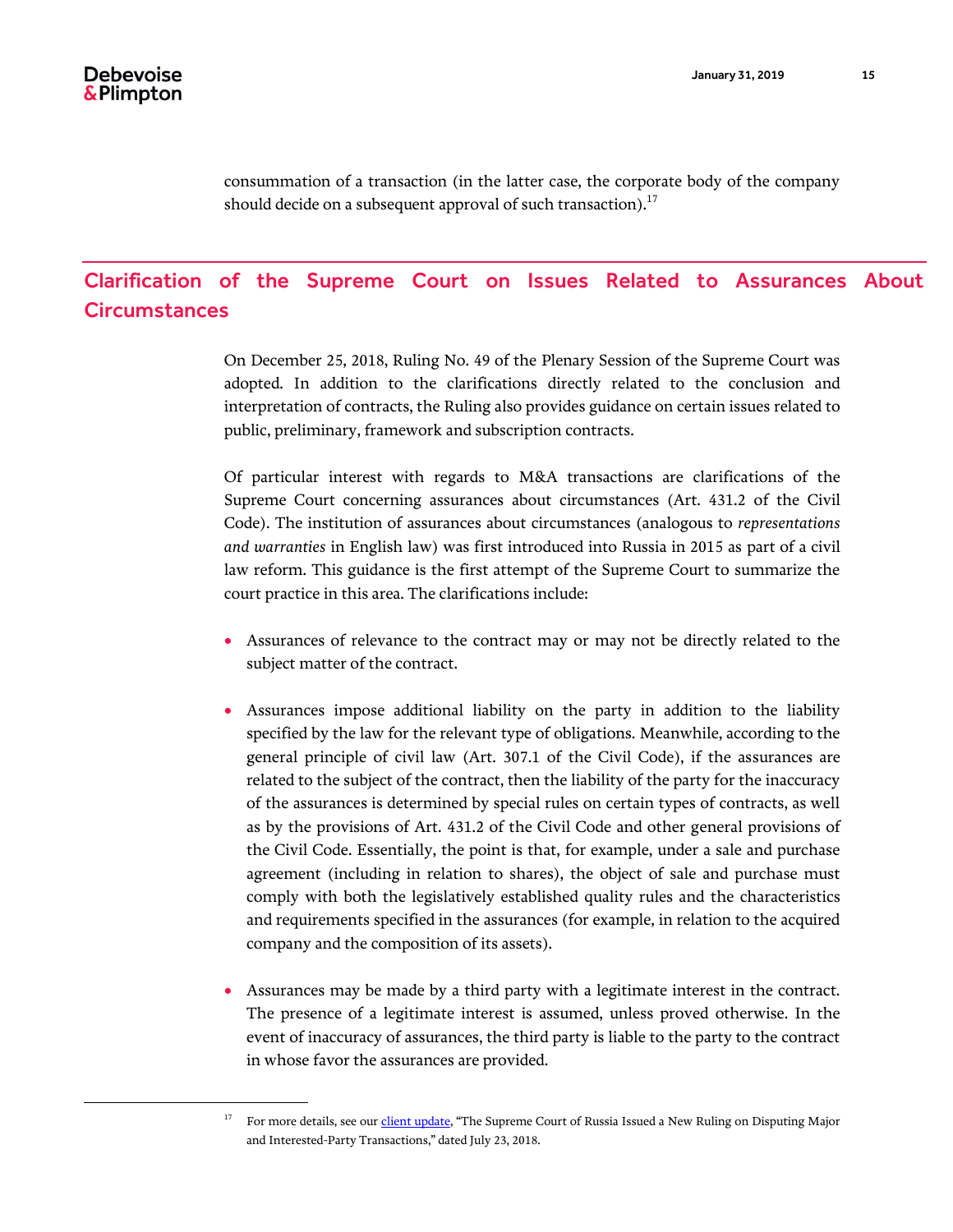consummation of a transaction (in the latter case, the corporate body of the company should decide on a subsequent approval of such transaction).<sup>17</sup>

# Clarification of the Supreme Court on Issues Related to Assurances About **Circumstances**

On December 25, 2018, Ruling No. 49 of the Plenary Session of the Supreme Court was adopted. In addition to the clarifications directly related to the conclusion and interpretation of contracts, the Ruling also provides guidance on certain issues related to public, preliminary, framework and subscription contracts.

Of particular interest with regards to M&A transactions are clarifications of the Supreme Court concerning assurances about circumstances (Art. 431.2 of the Civil Code). The institution of assurances about circumstances (analogous to *representations and warranties* in English law) was first introduced into Russia in 2015 as part of a civil law reform. This guidance is the first attempt of the Supreme Court to summarize the court practice in this area. The clarifications include:

- Assurances of relevance to the contract may or may not be directly related to the subject matter of the contract.
- Assurances impose additional liability on the party in addition to the liability specified by the law for the relevant type of obligations. Meanwhile, according to the general principle of civil law (Art. 307.1 of the Civil Code), if the assurances are related to the subject of the contract, then the liability of the party for the inaccuracy of the assurances is determined by special rules on certain types of contracts, as well as by the provisions of Art. 431.2 of the Civil Code and other general provisions of the Civil Code. Essentially, the point is that, for example, under a sale and purchase agreement (including in relation to shares), the object of sale and purchase must comply with both the legislatively established quality rules and the characteristics and requirements specified in the assurances (for example, in relation to the acquired company and the composition of its assets).
- Assurances may be made by a third party with a legitimate interest in the contract. The presence of a legitimate interest is assumed, unless proved otherwise. In the event of inaccuracy of assurances, the third party is liable to the party to the contract in whose favor the assurances are provided.

For more details, see ou[r client update,](https://www.debevoise.com/insights/publications/2018/07/the-supreme-court-of-russia-iss-ruling-disp-trans) "The Supreme Court of Russia Issued a New Ruling on Disputing Major and Interested-Party Transactions," dated July 23, 2018.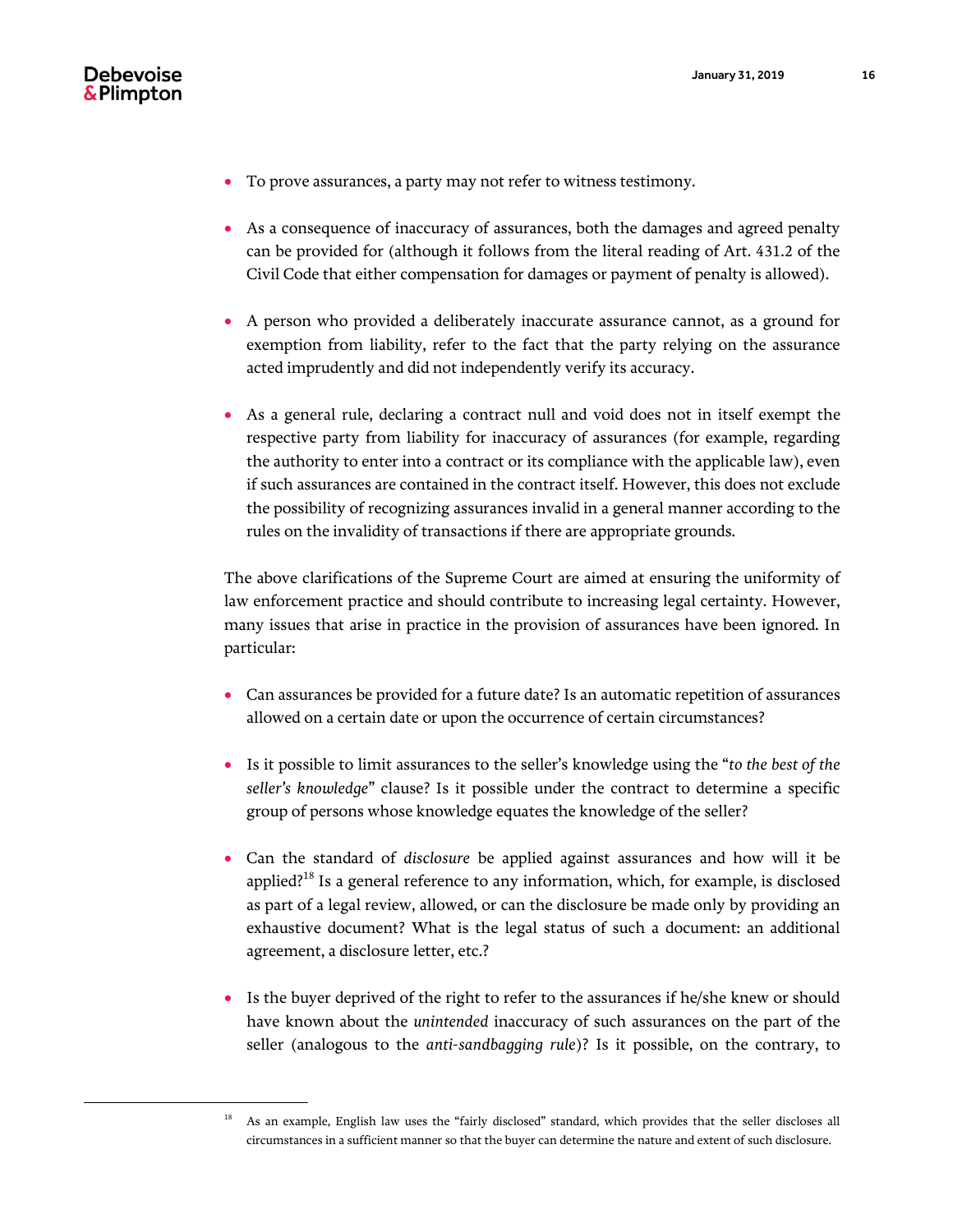- To prove assurances, a party may not refer to witness testimony.
- As a consequence of inaccuracy of assurances, both the damages and agreed penalty can be provided for (although it follows from the literal reading of Art. 431.2 of the Civil Code that either compensation for damages or payment of penalty is allowed).
- A person who provided a deliberately inaccurate assurance cannot, as a ground for exemption from liability, refer to the fact that the party relying on the assurance acted imprudently and did not independently verify its accuracy.
- As a general rule, declaring a contract null and void does not in itself exempt the respective party from liability for inaccuracy of assurances (for example, regarding the authority to enter into a contract or its compliance with the applicable law), even if such assurances are contained in the contract itself. However, this does not exclude the possibility of recognizing assurances invalid in a general manner according to the rules on the invalidity of transactions if there are appropriate grounds.

The above clarifications of the Supreme Court are aimed at ensuring the uniformity of law enforcement practice and should contribute to increasing legal certainty. However, many issues that arise in practice in the provision of assurances have been ignored. In particular:

- Can assurances be provided for a future date? Is an automatic repetition of assurances allowed on a certain date or upon the occurrence of certain circumstances?
- Is it possible to limit assurances to the seller's knowledge using the "*to the best of the seller's knowledge*" clause? Is it possible under the contract to determine a specific group of persons whose knowledge equates the knowledge of the seller?
- Can the standard of *disclosure* be applied against assurances and how will it be applied? $18$  Is a general reference to any information, which, for example, is disclosed as part of a legal review, allowed, or can the disclosure be made only by providing an exhaustive document? What is the legal status of such a document: an additional agreement, a disclosure letter, etc.?
- Is the buyer deprived of the right to refer to the assurances if he/she knew or should have known about the *unintended* inaccuracy of such assurances on the part of the seller (analogous to the *anti-sandbagging rule*)? Is it possible, on the contrary, to

<sup>&</sup>lt;sup>18</sup> As an example, English law uses the "fairly disclosed" standard, which provides that the seller discloses all circumstances in a sufficient manner so that the buyer can determine the nature and extent of such disclosure.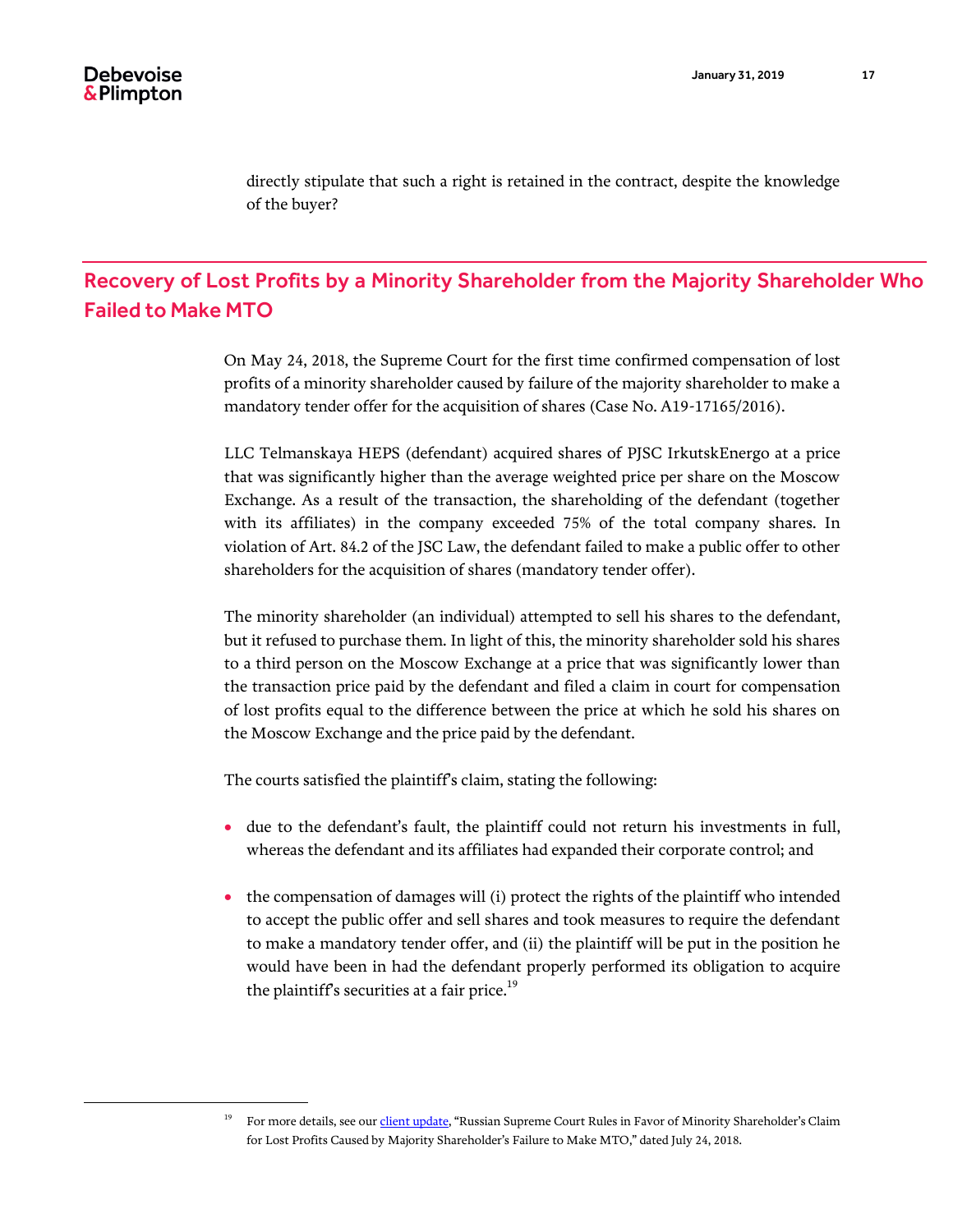directly stipulate that such a right is retained in the contract, despite the knowledge of the buyer?

# Recovery of Lost Profits by a Minority Shareholder from the Majority Shareholder Who Failed to Make MTO

On May 24, 2018, the Supreme Court for the first time confirmed compensation of lost profits of a minority shareholder caused by failure of the majority shareholder to make a mandatory tender offer for the acquisition of shares (Case No. A19-17165/2016).

LLC Telmanskaya HEPS (defendant) acquired shares of PJSC IrkutskEnergo at a price that was significantly higher than the average weighted price per share on the Moscow Exchange. As a result of the transaction, the shareholding of the defendant (together with its affiliates) in the company exceeded 75% of the total company shares. In violation of Art. 84.2 of the JSC Law, the defendant failed to make a public offer to other shareholders for the acquisition of shares (mandatory tender offer).

The minority shareholder (an individual) attempted to sell his shares to the defendant, but it refused to purchase them. In light of this, the minority shareholder sold his shares to a third person on the Moscow Exchange at a price that was significantly lower than the transaction price paid by the defendant and filed a claim in court for compensation of lost profits equal to the difference between the price at which he sold his shares on the Moscow Exchange and the price paid by the defendant.

The courts satisfied the plaintiff's claim, stating the following:

- due to the defendant's fault, the plaintiff could not return his investments in full, whereas the defendant and its affiliates had expanded their corporate control; and
- $\bullet$  the compensation of damages will (i) protect the rights of the plaintiff who intended to accept the public offer and sell shares and took measures to require the defendant to make a mandatory tender offer, and (ii) the plaintiff will be put in the position he would have been in had the defendant properly performed its obligation to acquire the plaintiff's securities at a fair price.<sup>19</sup>

<sup>&</sup>lt;sup>19</sup> For more details, see our *client update*, "Russian Supreme Court Rules in Favor of Minority Shareholder's Claim for Lost Profits Caused by Majority Shareholder's Failure to Make MTO," dated July 24, 2018.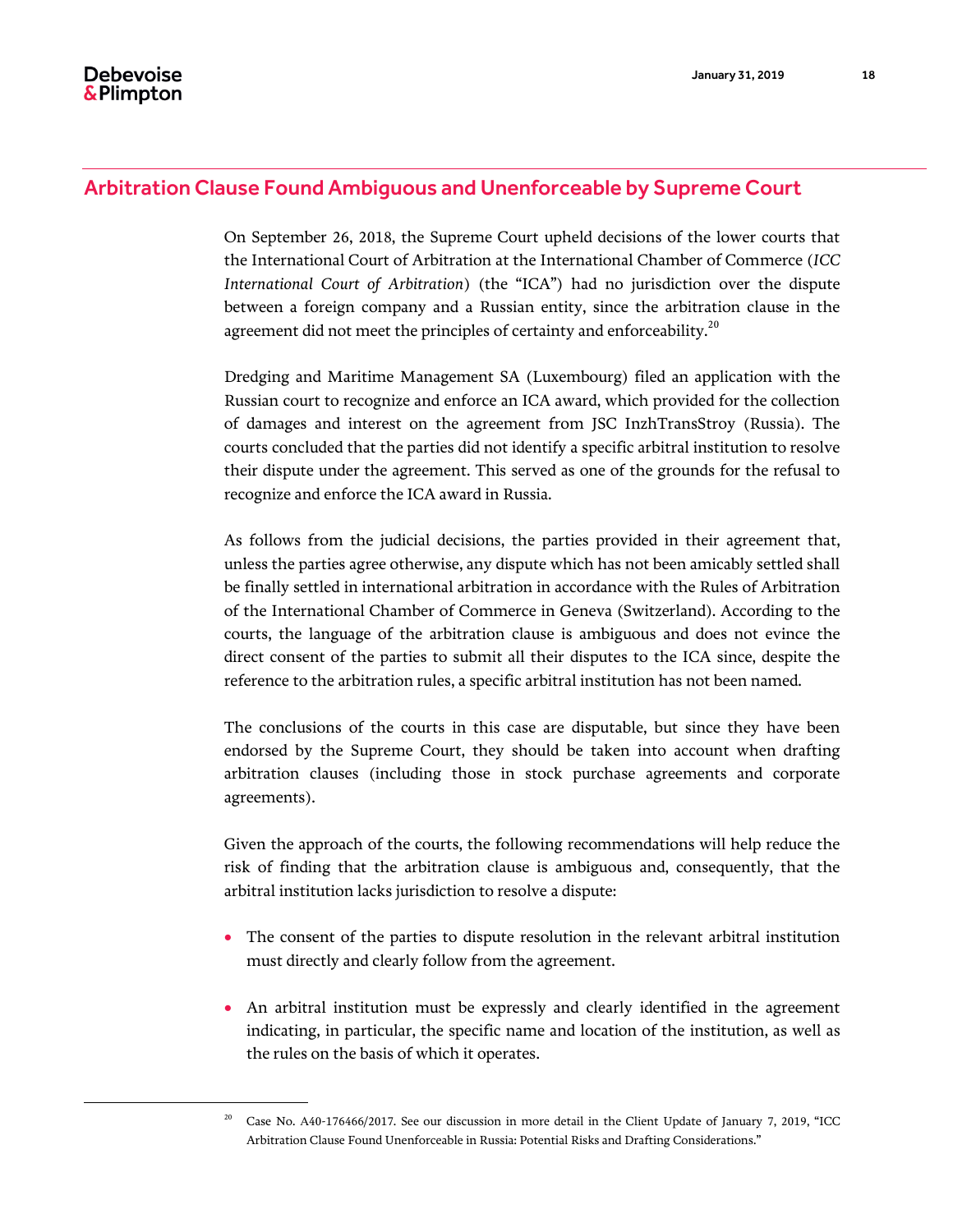# Arbitration Clause Found Ambiguous and Unenforceable by Supreme Court

On September 26, 2018, the Supreme Court upheld decisions of the lower courts that the International Court of Arbitration at the International Chamber of Commerce (*ICC International Court of Arbitration*) (the "ICA") had no jurisdiction over the dispute between a foreign company and a Russian entity, since the arbitration clause in the agreement did not meet the principles of certainty and enforceability.<sup>20</sup>

Dredging and Maritime Management SA (Luxembourg) filed an application with the Russian court to recognize and enforce an ICA award, which provided for the collection of damages and interest on the agreement from JSC InzhTransStroy (Russia). The courts concluded that the parties did not identify a specific arbitral institution to resolve their dispute under the agreement. This served as one of the grounds for the refusal to recognize and enforce the ICA award in Russia.

As follows from the judicial decisions, the parties provided in their agreement that, unless the parties agree otherwise, any dispute which has not been amicably settled shall be finally settled in international arbitration in accordance with the Rules of Arbitration of the International Chamber of Commerce in Geneva (Switzerland). According to the courts, the language of the arbitration clause is ambiguous and does not evince the direct consent of the parties to submit all their disputes to the ICA since, despite the reference to the arbitration rules, a specific arbitral institution has not been named.

The conclusions of the courts in this case are disputable, but since they have been endorsed by the Supreme Court, they should be taken into account when drafting arbitration clauses (including those in stock purchase agreements and corporate agreements).

Given the approach of the courts, the following recommendations will help reduce the risk of finding that the arbitration clause is ambiguous and, consequently, that the arbitral institution lacks jurisdiction to resolve a dispute:

- The consent of the parties to dispute resolution in the relevant arbitral institution must directly and clearly follow from the agreement.
- An arbitral institution must be expressly and clearly identified in the agreement indicating, in particular, the specific name and location of the institution, as well as the rules on the basis of which it operates.

<sup>20</sup> Case No. А40-176466/2017. See our discussion in more detail in the Client Update of January 7, 2019, "ICC Arbitration Clause Found Unenforceable in Russia: Potential Risks and Drafting Considerations."